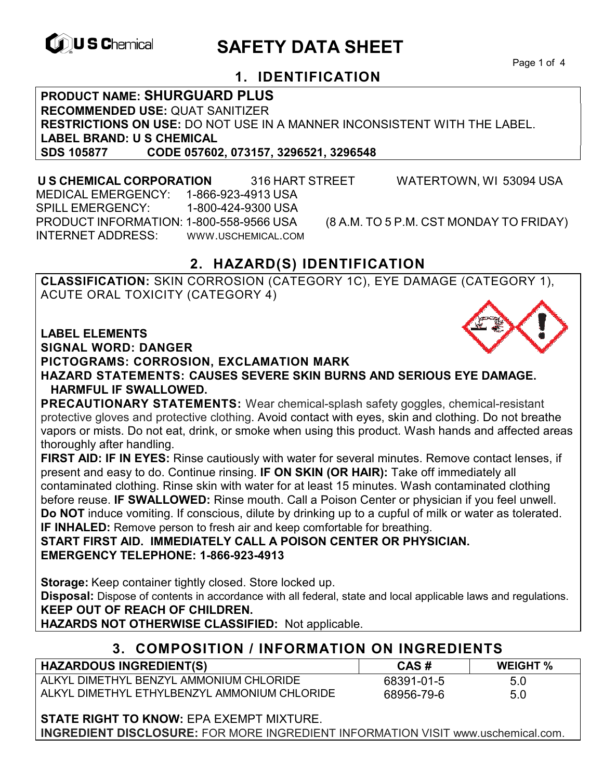

# **EXAGREM** SAFETY DATA SHEET

Page 1 of 4

## **1. IDENTIFICATION**

**PRODUCT NAME: SHURGUARD PLUS RECOMMENDED USE:** QUAT SANITIZER **RESTRICTIONS ON USE:** DO NOT USE IN A MANNER INCONSISTENT WITH THE LABEL.

**LABEL BRAND: U S CHEMICAL SDS 105877 CODE 057602, 073157, 3296521, 3296548** 

 **U S CHEMICAL CORPORATION** 316 HART STREET WATERTOWN, WI 53094 USA MEDICAL EMERGENCY: 1-866-923-4913 USA SPILL EMERGENCY: 1-800-424-9300 USA PRODUCT INFORMATION: 1-800-558-9566 USA (8 A.M. TO 5 P.M. CST MONDAY TO FRIDAY) INTERNET ADDRESS: WWW.USCHEMICAL.COM

## **2. HAZARD(S) IDENTIFICATION**

**CLASSIFICATION:** SKIN CORROSION (CATEGORY 1C), EYE DAMAGE (CATEGORY 1), ACUTE ORAL TOXICITY (CATEGORY 4)

**LABEL ELEMENTS** 

**SIGNAL WORD: DANGER**

**PICTOGRAMS: CORROSION, EXCLAMATION MARK**

**HAZARD STATEMENTS: CAUSES SEVERE SKIN BURNS AND SERIOUS EYE DAMAGE. HARMFUL IF SWALLOWED.** 

**PRECAUTIONARY STATEMENTS:** Wear chemical-splash safety goggles, chemical-resistant protective gloves and protective clothing. Avoid contact with eyes, skin and clothing. Do not breathe vapors or mists. Do not eat, drink, or smoke when using this product. Wash hands and affected areas thoroughly after handling.

**FIRST AID: IF IN EYES:** Rinse cautiously with water for several minutes. Remove contact lenses, if present and easy to do. Continue rinsing. **IF ON SKIN (OR HAIR):** Take off immediately all contaminated clothing. Rinse skin with water for at least 15 minutes. Wash contaminated clothing before reuse. **IF SWALLOWED:** Rinse mouth. Call a Poison Center or physician if you feel unwell. **Do NOT** induce vomiting. If conscious, dilute by drinking up to a cupful of milk or water as tolerated. **IF INHALED:** Remove person to fresh air and keep comfortable for breathing.

**START FIRST AID. IMMEDIATELY CALL A POISON CENTER OR PHYSICIAN. EMERGENCY TELEPHONE: 1-866-923-4913**

**Storage:** Keep container tightly closed. Store locked up.

**Disposal:** Dispose of contents in accordance with all federal, state and local applicable laws and regulations. **KEEP OUT OF REACH OF CHILDREN.** 

**HAZARDS NOT OTHERWISE CLASSIFIED:** Not applicable.

## **3. COMPOSITION / INFORMATION ON INGREDIENTS**

| <b>HAZARDOUS INGREDIENT(S)</b>               | CAS#       | <b>WEIGHT %</b> |
|----------------------------------------------|------------|-----------------|
| ALKYL DIMETHYL BENZYL AMMONIUM CHLORIDE      | 68391-01-5 | 5.0             |
| ALKYL DIMETHYL ETHYLBENZYL AMMONIUM CHLORIDE | 68956-79-6 | 5.0             |

**STATE RIGHT TO KNOW:** EPA EXEMPT MIXTURE.

**INGREDIENT DISCLOSURE:** FOR MORE INGREDIENT INFORMATION VISIT www.uschemical.com.

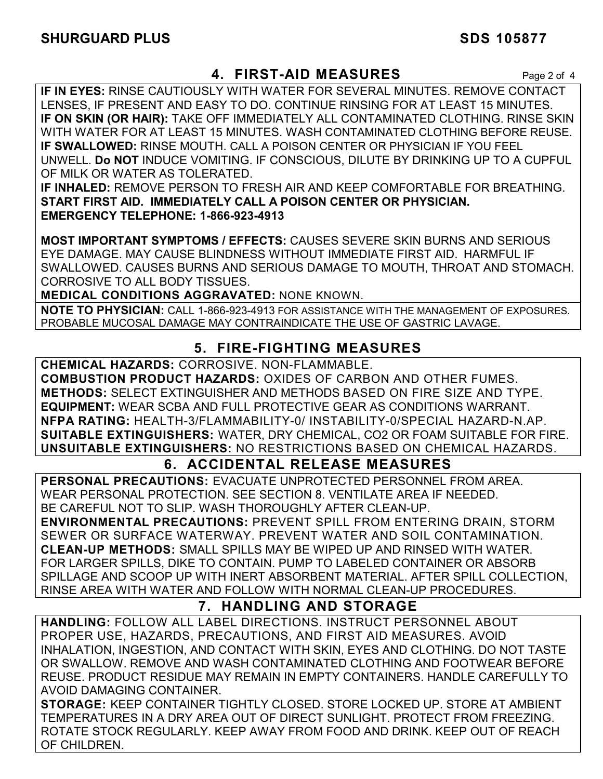## **4. FIRST-AID MEASURES** Page 2 of 4

**IF IN EYES:** RINSE CAUTIOUSLY WITH WATER FOR SEVERAL MINUTES. REMOVE CONTACT LENSES, IF PRESENT AND EASY TO DO. CONTINUE RINSING FOR AT LEAST 15 MINUTES. **IF ON SKIN (OR HAIR):** TAKE OFF IMMEDIATELY ALL CONTAMINATED CLOTHING. RINSE SKIN WITH WATER FOR AT LEAST 15 MINUTES. WASH CONTAMINATED CLOTHING BEFORE REUSE. **IF SWALLOWED:** RINSE MOUTH. CALL A POISON CENTER OR PHYSICIAN IF YOU FEEL UNWELL. **Do NOT** INDUCE VOMITING. IF CONSCIOUS, DILUTE BY DRINKING UP TO A CUPFUL OF MILK OR WATER AS TOLERATED.

**IF INHALED:** REMOVE PERSON TO FRESH AIR AND KEEP COMFORTABLE FOR BREATHING. **START FIRST AID. IMMEDIATELY CALL A POISON CENTER OR PHYSICIAN. EMERGENCY TELEPHONE: 1-866-923-4913**

**MOST IMPORTANT SYMPTOMS / EFFECTS:** CAUSES SEVERE SKIN BURNS AND SERIOUS EYE DAMAGE. MAY CAUSE BLINDNESS WITHOUT IMMEDIATE FIRST AID. HARMFUL IF SWALLOWED. CAUSES BURNS AND SERIOUS DAMAGE TO MOUTH, THROAT AND STOMACH. CORROSIVE TO ALL BODY TISSUES.

**MEDICAL CONDITIONS AGGRAVATED:** NONE KNOWN.

**NOTE TO PHYSICIAN:** CALL 1-866-923-4913 FOR ASSISTANCE WITH THE MANAGEMENT OF EXPOSURES. PROBABLE MUCOSAL DAMAGE MAY CONTRAINDICATE THE USE OF GASTRIC LAVAGE.

## **5. FIRE-FIGHTING MEASURES**

**CHEMICAL HAZARDS:** CORROSIVE. NON-FLAMMABLE.

**COMBUSTION PRODUCT HAZARDS:** OXIDES OF CARBON AND OTHER FUMES. **METHODS:** SELECT EXTINGUISHER AND METHODS BASED ON FIRE SIZE AND TYPE. **EQUIPMENT:** WEAR SCBA AND FULL PROTECTIVE GEAR AS CONDITIONS WARRANT. **NFPA RATING:** HEALTH-3/FLAMMABILITY-0/ INSTABILITY-0/SPECIAL HAZARD-N.AP. **SUITABLE EXTINGUISHERS:** WATER, DRY CHEMICAL, CO2 OR FOAM SUITABLE FOR FIRE. **UNSUITABLE EXTINGUISHERS:** NO RESTRICTIONS BASED ON CHEMICAL HAZARDS.

## **6. ACCIDENTAL RELEASE MEASURES**

**PERSONAL PRECAUTIONS:** EVACUATE UNPROTECTED PERSONNEL FROM AREA. WEAR PERSONAL PROTECTION. SEE SECTION 8. VENTILATE AREA IF NEEDED. BE CAREFUL NOT TO SLIP. WASH THOROUGHLY AFTER CLEAN-UP.

**ENVIRONMENTAL PRECAUTIONS:** PREVENT SPILL FROM ENTERING DRAIN, STORM SEWER OR SURFACE WATERWAY. PREVENT WATER AND SOIL CONTAMINATION. **CLEAN-UP METHODS:** SMALL SPILLS MAY BE WIPED UP AND RINSED WITH WATER. FOR LARGER SPILLS, DIKE TO CONTAIN. PUMP TO LABELED CONTAINER OR ABSORB SPILLAGE AND SCOOP UP WITH INERT ABSORBENT MATERIAL. AFTER SPILL COLLECTION, RINSE AREA WITH WATER AND FOLLOW WITH NORMAL CLEAN-UP PROCEDURES.

## **7. HANDLING AND STORAGE**

**HANDLING:** FOLLOW ALL LABEL DIRECTIONS. INSTRUCT PERSONNEL ABOUT PROPER USE, HAZARDS, PRECAUTIONS, AND FIRST AID MEASURES. AVOID INHALATION, INGESTION, AND CONTACT WITH SKIN, EYES AND CLOTHING. DO NOT TASTE OR SWALLOW. REMOVE AND WASH CONTAMINATED CLOTHING AND FOOTWEAR BEFORE REUSE. PRODUCT RESIDUE MAY REMAIN IN EMPTY CONTAINERS. HANDLE CAREFULLY TO AVOID DAMAGING CONTAINER.

**STORAGE:** KEEP CONTAINER TIGHTLY CLOSED. STORE LOCKED UP. STORE AT AMBIENT TEMPERATURES IN A DRY AREA OUT OF DIRECT SUNLIGHT. PROTECT FROM FREEZING. ROTATE STOCK REGULARLY. KEEP AWAY FROM FOOD AND DRINK. KEEP OUT OF REACH OF CHILDREN.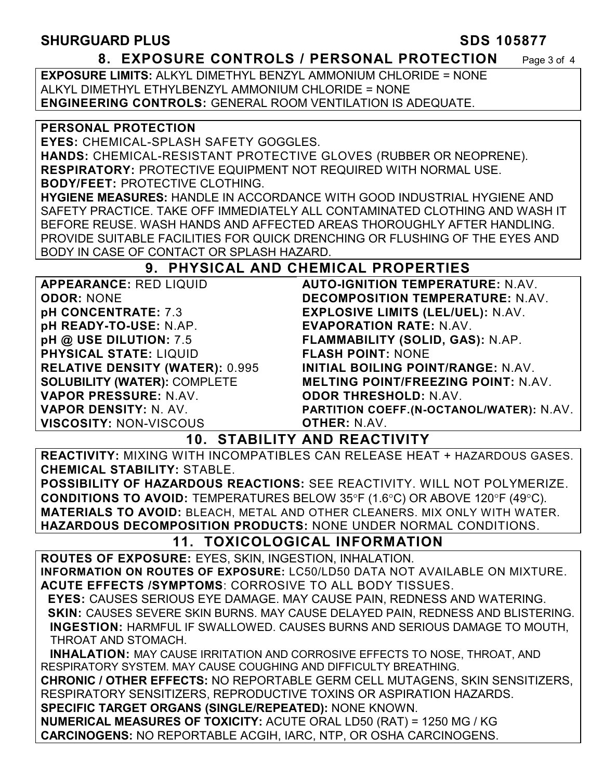#### **SHURGUARD PLUS** SHURGUARD PLUS

#### **8. EXPOSURE CONTROLS / PERSONAL PROTECTION** Page 3 of 4

**EXPOSURE LIMITS:** ALKYL DIMETHYL BENZYL AMMONIUM CHLORIDE = NONE ALKYL DIMETHYL ETHYLBENZYL AMMONIUM CHLORIDE = NONE **ENGINEERING CONTROLS:** GENERAL ROOM VENTILATION IS ADEQUATE.

#### **PERSONAL PROTECTION**

**EYES:** CHEMICAL-SPLASH SAFETY GOGGLES.

**HANDS:** CHEMICAL-RESISTANT PROTECTIVE GLOVES (RUBBER OR NEOPRENE). **RESPIRATORY:** PROTECTIVE EQUIPMENT NOT REQUIRED WITH NORMAL USE.

#### **BODY/FEET:** PROTECTIVE CLOTHING.

**HYGIENE MEASURES:** HANDLE IN ACCORDANCE WITH GOOD INDUSTRIAL HYGIENE AND SAFETY PRACTICE. TAKE OFF IMMEDIATELY ALL CONTAMINATED CLOTHING AND WASH IT BEFORE REUSE. WASH HANDS AND AFFECTED AREAS THOROUGHLY AFTER HANDLING. PROVIDE SUITABLE FACILITIES FOR QUICK DRENCHING OR FLUSHING OF THE EYES AND BODY IN CASE OF CONTACT OR SPLASH HAZARD.

#### **9. PHYSICAL AND CHEMICAL PROPERTIES**

**APPEARANCE:** RED LIQUID **ODOR:** NONE **pH CONCENTRATE:** 7.3 **pH READY-TO-USE:** N.AP. **pH @ USE DILUTION:** 7.5 **PHYSICAL STATE:** LIQUID **RELATIVE DENSITY (WATER):** 0.995 **SOLUBILITY (WATER):** COMPLETE **VAPOR PRESSURE:** N.AV. **VAPOR DENSITY:** N. AV. **VISCOSITY:** NON-VISCOUS **AUTO-IGNITION TEMPERATURE:** N.AV. **DECOMPOSITION TEMPERATURE:** N.AV. **EXPLOSIVE LIMITS (LEL/UEL):** N.AV. **EVAPORATION RATE:** N.AV. **FLAMMABILITY (SOLID, GAS):** N.AP. **FLASH POINT:** NONE **INITIAL BOILING POINT/RANGE:** N.AV. **MELTING POINT/FREEZING POINT:** N.AV. **ODOR THRESHOLD:** N.AV. **PARTITION COEFF.(N-OCTANOL/WATER):** N.AV. **OTHER:** N.AV.

### **10. STABILITY AND REACTIVITY**

**REACTIVITY:** MIXING WITH INCOMPATIBLES CAN RELEASE HEAT + HAZARDOUS GASES. **CHEMICAL STABILITY:** STABLE.

**POSSIBILITY OF HAZARDOUS REACTIONS:** SEE REACTIVITY. WILL NOT POLYMERIZE. **CONDITIONS TO AVOID:** TEMPERATURES BELOW 35°F (1.6°C) OR ABOVE 120°F (49°C). **MATERIALS TO AVOID:** BLEACH, METAL AND OTHER CLEANERS. MIX ONLY WITH WATER. **HAZARDOUS DECOMPOSITION PRODUCTS:** NONE UNDER NORMAL CONDITIONS.

### **11. TOXICOLOGICAL INFORMATION**

**ROUTES OF EXPOSURE:** EYES, SKIN, INGESTION, INHALATION. **INFORMATION ON ROUTES OF EXPOSURE:** LC50/LD50 DATA NOT AVAILABLE ON MIXTURE. **ACUTE EFFECTS /SYMPTOMS**: CORROSIVE TO ALL BODY TISSUES.

 **EYES:** CAUSES SERIOUS EYE DAMAGE. MAY CAUSE PAIN, REDNESS AND WATERING.  **SKIN:** CAUSES SEVERE SKIN BURNS. MAY CAUSE DELAYED PAIN, REDNESS AND BLISTERING. **INGESTION:** HARMFUL IF SWALLOWED. CAUSES BURNS AND SERIOUS DAMAGE TO MOUTH, THROAT AND STOMACH.

 **INHALATION:** MAY CAUSE IRRITATION AND CORROSIVE EFFECTS TO NOSE, THROAT, AND RESPIRATORY SYSTEM. MAY CAUSE COUGHING AND DIFFICULTY BREATHING.

**CHRONIC / OTHER EFFECTS:** NO REPORTABLE GERM CELL MUTAGENS, SKIN SENSITIZERS, RESPIRATORY SENSITIZERS, REPRODUCTIVE TOXINS OR ASPIRATION HAZARDS.

**SPECIFIC TARGET ORGANS (SINGLE/REPEATED):** NONE KNOWN.

**NUMERICAL MEASURES OF TOXICITY:** ACUTE ORAL LD50 (RAT) = 1250 MG / KG **CARCINOGENS:** NO REPORTABLE ACGIH, IARC, NTP, OR OSHA CARCINOGENS.